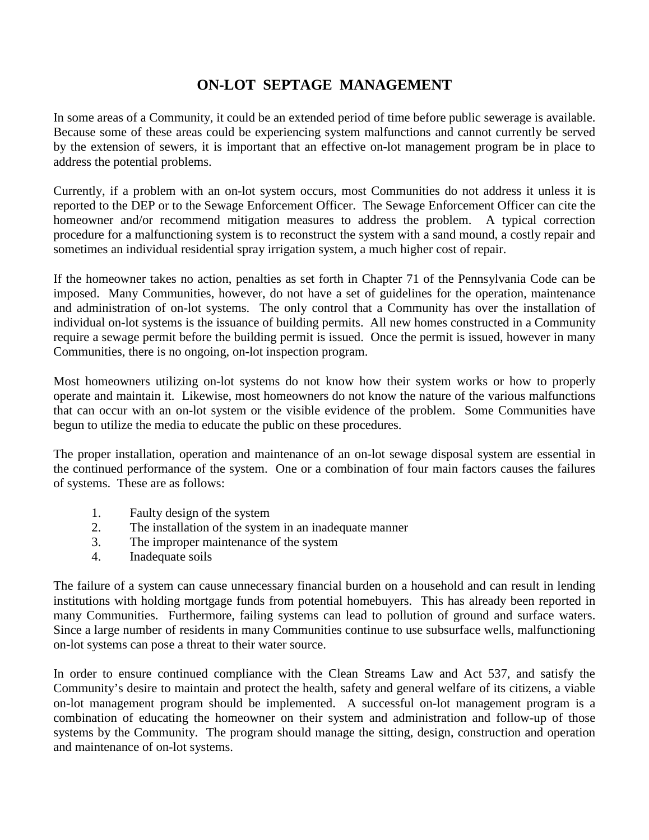# **ON-LOT SEPTAGE MANAGEMENT**

In some areas of a Community, it could be an extended period of time before public sewerage is available. Because some of these areas could be experiencing system malfunctions and cannot currently be served by the extension of sewers, it is important that an effective on-lot management program be in place to address the potential problems.

Currently, if a problem with an on-lot system occurs, most Communities do not address it unless it is reported to the DEP or to the Sewage Enforcement Officer. The Sewage Enforcement Officer can cite the homeowner and/or recommend mitigation measures to address the problem. A typical correction procedure for a malfunctioning system is to reconstruct the system with a sand mound, a costly repair and sometimes an individual residential spray irrigation system, a much higher cost of repair.

If the homeowner takes no action, penalties as set forth in Chapter 71 of the Pennsylvania Code can be imposed. Many Communities, however, do not have a set of guidelines for the operation, maintenance and administration of on-lot systems. The only control that a Community has over the installation of individual on-lot systems is the issuance of building permits. All new homes constructed in a Community require a sewage permit before the building permit is issued. Once the permit is issued, however in many Communities, there is no ongoing, on-lot inspection program.

Most homeowners utilizing on-lot systems do not know how their system works or how to properly operate and maintain it. Likewise, most homeowners do not know the nature of the various malfunctions that can occur with an on-lot system or the visible evidence of the problem. Some Communities have begun to utilize the media to educate the public on these procedures.

The proper installation, operation and maintenance of an on-lot sewage disposal system are essential in the continued performance of the system. One or a combination of four main factors causes the failures of systems. These are as follows:

- 1. Faulty design of the system
- 2. The installation of the system in an inadequate manner
- 3. The improper maintenance of the system
- 4. Inadequate soils

The failure of a system can cause unnecessary financial burden on a household and can result in lending institutions with holding mortgage funds from potential homebuyers. This has already been reported in many Communities. Furthermore, failing systems can lead to pollution of ground and surface waters. Since a large number of residents in many Communities continue to use subsurface wells, malfunctioning on-lot systems can pose a threat to their water source.

In order to ensure continued compliance with the Clean Streams Law and Act 537, and satisfy the Community's desire to maintain and protect the health, safety and general welfare of its citizens, a viable on-lot management program should be implemented. A successful on-lot management program is a combination of educating the homeowner on their system and administration and follow-up of those systems by the Community. The program should manage the sitting, design, construction and operation and maintenance of on-lot systems.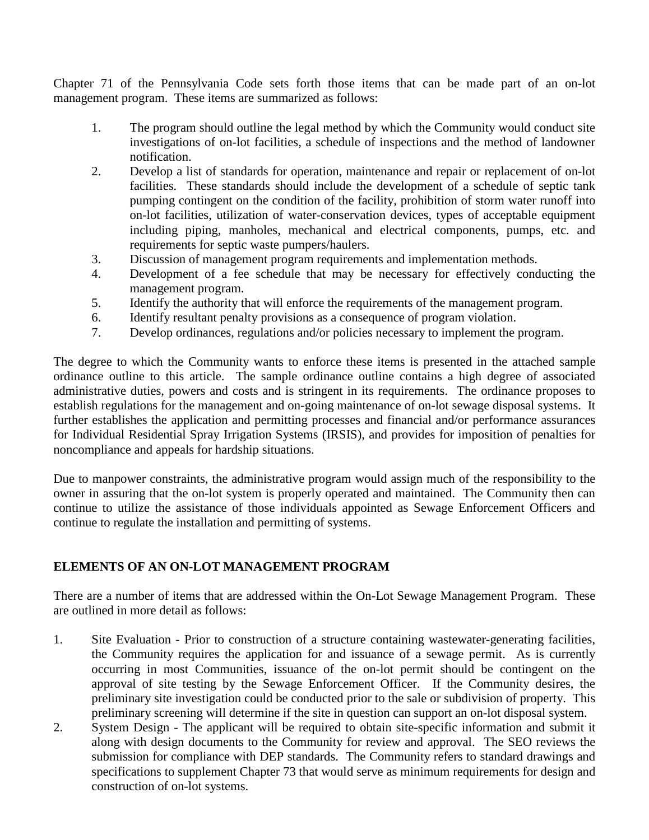Chapter 71 of the Pennsylvania Code sets forth those items that can be made part of an on-lot management program. These items are summarized as follows:

- 1. The program should outline the legal method by which the Community would conduct site investigations of on-lot facilities, a schedule of inspections and the method of landowner notification.
- 2. Develop a list of standards for operation, maintenance and repair or replacement of on-lot facilities. These standards should include the development of a schedule of septic tank pumping contingent on the condition of the facility, prohibition of storm water runoff into on-lot facilities, utilization of water-conservation devices, types of acceptable equipment including piping, manholes, mechanical and electrical components, pumps, etc. and requirements for septic waste pumpers/haulers.
- 3. Discussion of management program requirements and implementation methods.
- 4. Development of a fee schedule that may be necessary for effectively conducting the management program.
- 5. Identify the authority that will enforce the requirements of the management program.
- 6. Identify resultant penalty provisions as a consequence of program violation.
- 7. Develop ordinances, regulations and/or policies necessary to implement the program.

The degree to which the Community wants to enforce these items is presented in the attached sample ordinance outline to this article. The sample ordinance outline contains a high degree of associated administrative duties, powers and costs and is stringent in its requirements. The ordinance proposes to establish regulations for the management and on-going maintenance of on-lot sewage disposal systems. It further establishes the application and permitting processes and financial and/or performance assurances for Individual Residential Spray Irrigation Systems (IRSIS), and provides for imposition of penalties for noncompliance and appeals for hardship situations.

Due to manpower constraints, the administrative program would assign much of the responsibility to the owner in assuring that the on-lot system is properly operated and maintained. The Community then can continue to utilize the assistance of those individuals appointed as Sewage Enforcement Officers and continue to regulate the installation and permitting of systems.

# **ELEMENTS OF AN ON-LOT MANAGEMENT PROGRAM**

There are a number of items that are addressed within the On-Lot Sewage Management Program. These are outlined in more detail as follows:

- 1. Site Evaluation Prior to construction of a structure containing wastewater-generating facilities, the Community requires the application for and issuance of a sewage permit. As is currently occurring in most Communities, issuance of the on-lot permit should be contingent on the approval of site testing by the Sewage Enforcement Officer. If the Community desires, the preliminary site investigation could be conducted prior to the sale or subdivision of property. This preliminary screening will determine if the site in question can support an on-lot disposal system.
- 2. System Design The applicant will be required to obtain site-specific information and submit it along with design documents to the Community for review and approval. The SEO reviews the submission for compliance with DEP standards. The Community refers to standard drawings and specifications to supplement Chapter 73 that would serve as minimum requirements for design and construction of on-lot systems.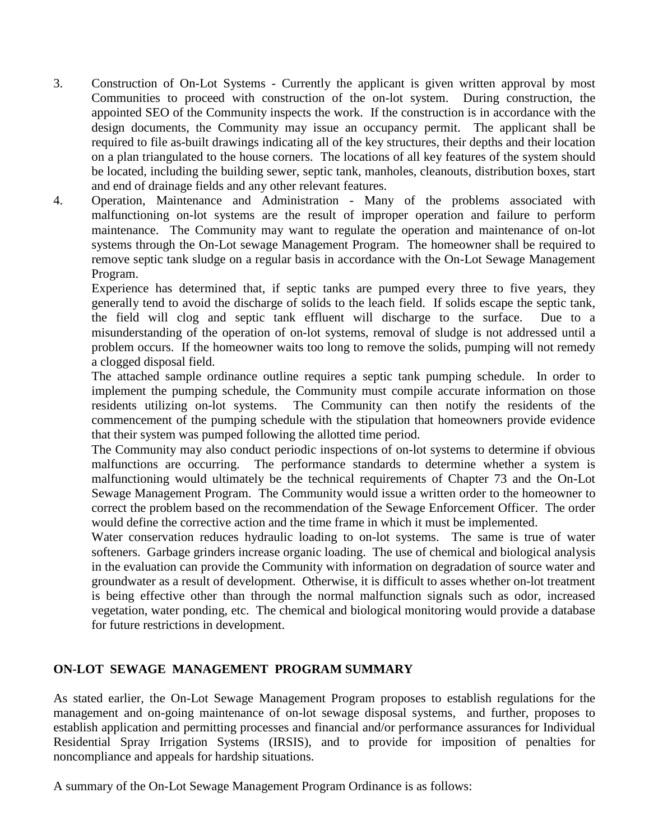- 3. Construction of On-Lot Systems Currently the applicant is given written approval by most Communities to proceed with construction of the on-lot system. During construction, the appointed SEO of the Community inspects the work. If the construction is in accordance with the design documents, the Community may issue an occupancy permit. The applicant shall be required to file as-built drawings indicating all of the key structures, their depths and their location on a plan triangulated to the house corners. The locations of all key features of the system should be located, including the building sewer, septic tank, manholes, cleanouts, distribution boxes, start and end of drainage fields and any other relevant features.
- 4. Operation, Maintenance and Administration Many of the problems associated with malfunctioning on-lot systems are the result of improper operation and failure to perform maintenance. The Community may want to regulate the operation and maintenance of on-lot systems through the On-Lot sewage Management Program. The homeowner shall be required to remove septic tank sludge on a regular basis in accordance with the On-Lot Sewage Management Program.

Experience has determined that, if septic tanks are pumped every three to five years, they generally tend to avoid the discharge of solids to the leach field. If solids escape the septic tank, the field will clog and septic tank effluent will discharge to the surface. Due to a misunderstanding of the operation of on-lot systems, removal of sludge is not addressed until a problem occurs. If the homeowner waits too long to remove the solids, pumping will not remedy a clogged disposal field.

The attached sample ordinance outline requires a septic tank pumping schedule. In order to implement the pumping schedule, the Community must compile accurate information on those residents utilizing on-lot systems. The Community can then notify the residents of the The Community can then notify the residents of the commencement of the pumping schedule with the stipulation that homeowners provide evidence that their system was pumped following the allotted time period.

The Community may also conduct periodic inspections of on-lot systems to determine if obvious malfunctions are occurring. The performance standards to determine whether a system is malfunctioning would ultimately be the technical requirements of Chapter 73 and the On-Lot Sewage Management Program. The Community would issue a written order to the homeowner to correct the problem based on the recommendation of the Sewage Enforcement Officer. The order would define the corrective action and the time frame in which it must be implemented.

Water conservation reduces hydraulic loading to on-lot systems. The same is true of water softeners. Garbage grinders increase organic loading. The use of chemical and biological analysis in the evaluation can provide the Community with information on degradation of source water and groundwater as a result of development. Otherwise, it is difficult to asses whether on-lot treatment is being effective other than through the normal malfunction signals such as odor, increased vegetation, water ponding, etc. The chemical and biological monitoring would provide a database for future restrictions in development.

# **ON-LOT SEWAGE MANAGEMENT PROGRAM SUMMARY**

As stated earlier, the On-Lot Sewage Management Program proposes to establish regulations for the management and on-going maintenance of on-lot sewage disposal systems, and further, proposes to establish application and permitting processes and financial and/or performance assurances for Individual Residential Spray Irrigation Systems (IRSIS), and to provide for imposition of penalties for noncompliance and appeals for hardship situations.

A summary of the On-Lot Sewage Management Program Ordinance is as follows: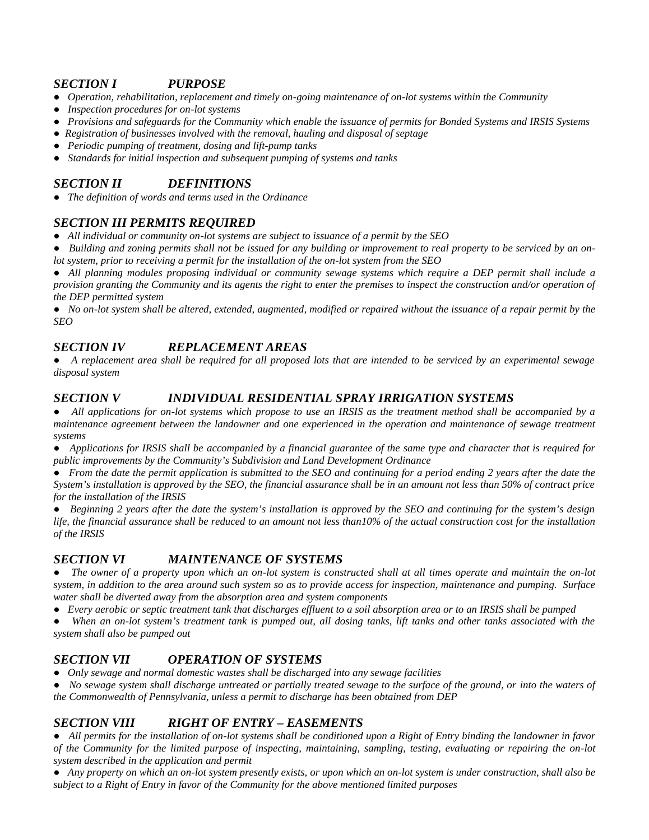#### *SECTION I PURPOSE*

*● Operation, rehabilitation, replacement and timely on-going maintenance of on-lot systems within the Community ● Inspection procedures for on-lot systems*

*● Provisions and safeguards for the Community which enable the issuance of permits for Bonded Systems and IRSIS Systems ● Registration of businesses involved with the removal, hauling and disposal of septage*

*● Periodic pumping of treatment, dosing and lift-pump tanks*

*● Standards for initial inspection and subsequent pumping of systems and tanks*

# *SECTION II DEFINITIONS*

*● The definition of words and terms used in the Ordinance*

## *SECTION III PERMITS REQUIRED*

*● All individual or community on-lot systems are subject to issuance of a permit by the SEO*

*Building and zoning permits shall not be issued for any building or improvement to real property to be serviced by an onlot system, prior to receiving a permit for the installation of the on-lot system from the SEO*

 *All planning modules proposing individual or community sewage systems which require a DEP permit shall include a provision granting the Community and its agents the right to enter the premises to inspect the construction and/or operation of the DEP permitted system*

*No on-lot system shall be altered, extended, augmented, modified or repaired without the issuance of a repair permit by the SEO*

# *SECTION IV REPLACEMENT AREAS*

*● A replacement area shall be required for all proposed lots that are intended to be serviced by an experimental sewage disposal system*

## *SECTION V INDIVIDUAL RESIDENTIAL SPRAY IRRIGATION SYSTEMS*

*● All applications for on-lot systems which propose to use an IRSIS as the treatment method shall be accompanied by a maintenance agreement between the landowner and one experienced in the operation and maintenance of sewage treatment systems*

*● Applications for IRSIS shall be accompanied by a financial guarantee of the same type and character that is required for public improvements by the Community's Subdivision and Land Development Ordinance*

*● From the date the permit application is submitted to the SEO and continuing for a period ending 2 years after the date the System's installation is approved by the SEO, the financial assurance shall be in an amount not less than 50% of contract price for the installation of the IRSIS*

*● Beginning 2 years after the date the system's installation is approved by the SEO and continuing for the system's design life, the financial assurance shall be reduced to an amount not less than10% of the actual construction cost for the installation of the IRSIS*

## *SECTION VI MAINTENANCE OF SYSTEMS*

*● The owner of a property upon which an on-lot system is constructed shall at all times operate and maintain the on-lot system, in addition to the area around such system so as to provide access for inspection, maintenance and pumping. Surface water shall be diverted away from the absorption area and system components*

*● Every aerobic or septic treatment tank that discharges effluent to a soil absorption area or to an IRSIS shall be pumped*

*● When an on-lot system's treatment tank is pumped out, all dosing tanks, lift tanks and other tanks associated with the system shall also be pumped out*

# *SECTION VII OPERATION OF SYSTEMS*

*● Only sewage and normal domestic wastes shall be discharged into any sewage facilities*

*● No sewage system shall discharge untreated or partially treated sewage to the surface of the ground, or into the waters of the Commonwealth of Pennsylvania, unless a permit to discharge has been obtained from DEP*

## *SECTION VIII RIGHT OF ENTRY – EASEMENTS*

*● All permits for the installation of on-lot systems shall be conditioned upon a Right of Entry binding the landowner in favor of the Community for the limited purpose of inspecting, maintaining, sampling, testing, evaluating or repairing the on-lot system described in the application and permit*

*● Any property on which an on-lot system presently exists, or upon which an on-lot system is under construction, shall also be subject to a Right of Entry in favor of the Community for the above mentioned limited purposes*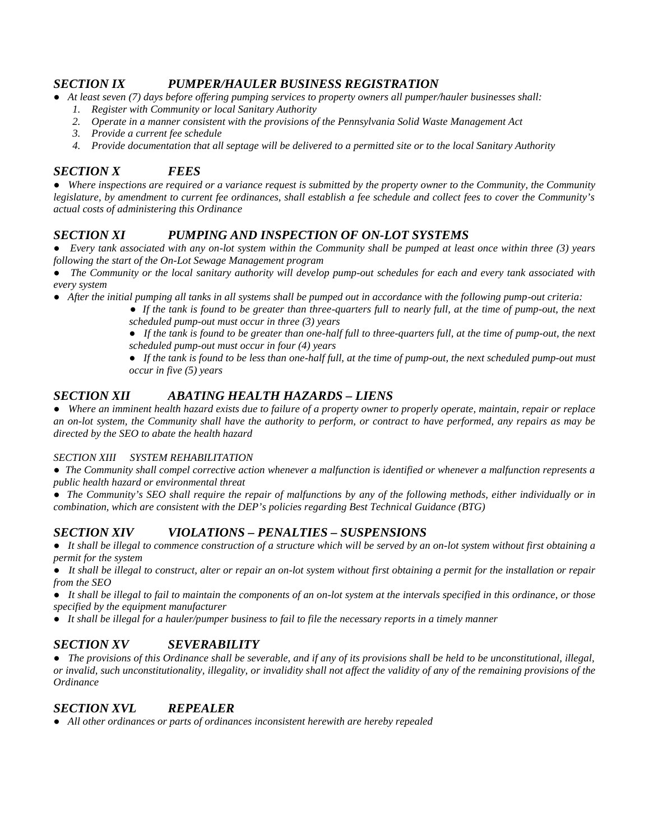#### *SECTION IX PUMPER/HAULER BUSINESS REGISTRATION*

*● At least seven (7) days before offering pumping services to property owners all pumper/hauler businesses shall:*

- *1. Register with Community or local Sanitary Authority*
- *2. Operate in a manner consistent with the provisions of the Pennsylvania Solid Waste Management Act*
- *3. Provide a current fee schedule*
- *4. Provide documentation that all septage will be delivered to a permitted site or to the local Sanitary Authority*

#### *SECTION X FEES*

*● Where inspections are required or a variance request is submitted by the property owner to the Community, the Community legislature, by amendment to current fee ordinances, shall establish a fee schedule and collect fees to cover the Community's actual costs of administering this Ordinance*

## *SECTION XI PUMPING AND INSPECTION OF ON-LOT SYSTEMS*

*● Every tank associated with any on-lot system within the Community shall be pumped at least once within three (3) years following the start of the On-Lot Sewage Management program*

*● The Community or the local sanitary authority will develop pump-out schedules for each and every tank associated with every system*

*● After the initial pumping all tanks in all systems shall be pumped out in accordance with the following pump-out criteria:*

*● If the tank is found to be greater than three-quarters full to nearly full, at the time of pump-out, the next scheduled pump-out must occur in three (3) years*

*● If the tank is found to be greater than one-half full to three-quarters full, at the time of pump-out, the next scheduled pump-out must occur in four (4) years*

*● If the tank is found to be less than one-half full, at the time of pump-out, the next scheduled pump-out must occur in five (5) years*

#### *SECTION XII ABATING HEALTH HAZARDS – LIENS*

*● Where an imminent health hazard exists due to failure of a property owner to properly operate, maintain, repair or replace an on-lot system, the Community shall have the authority to perform, or contract to have performed, any repairs as may be directed by the SEO to abate the health hazard*

#### *SECTION XIII SYSTEM REHABILITATION*

*● The Community shall compel corrective action whenever a malfunction is identified or whenever a malfunction represents a public health hazard or environmental threat*

*● The Community's SEO shall require the repair of malfunctions by any of the following methods, either individually or in combination, which are consistent with the DEP's policies regarding Best Technical Guidance (BTG)*

#### *SECTION XIV VIOLATIONS – PENALTIES – SUSPENSIONS*

*● It shall be illegal to commence construction of a structure which will be served by an on-lot system without first obtaining a permit for the system*

*● It shall be illegal to construct, alter or repair an on-lot system without first obtaining a permit for the installation or repair from the SEO*

*● It shall be illegal to fail to maintain the components of an on-lot system at the intervals specified in this ordinance, or those specified by the equipment manufacturer*

*● It shall be illegal for a hauler/pumper business to fail to file the necessary reports in a timely manner*

#### *SECTION XV SEVERABILITY*

*● The provisions of this Ordinance shall be severable, and if any of its provisions shall be held to be unconstitutional, illegal, or invalid, such unconstitutionality, illegality, or invalidity shall not affect the validity of any of the remaining provisions of the Ordinance*

#### *SECTION XVL REPEALER*

*● All other ordinances or parts of ordinances inconsistent herewith are hereby repealed*